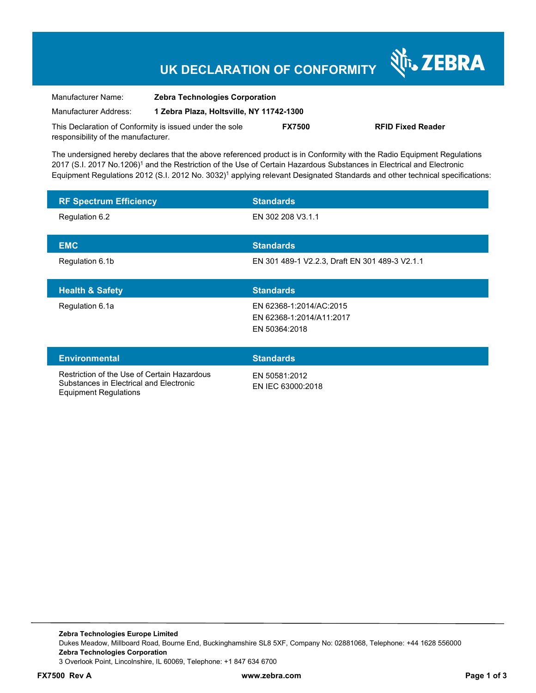## **UK DECLARATION OF CONFORMITY**

Nr. ZEBRA

| Manufacturer Name:                                      | <b>Zebra Technologies Corporation</b>    |               |                          |
|---------------------------------------------------------|------------------------------------------|---------------|--------------------------|
| Manufacturer Address:                                   | 1 Zebra Plaza, Holtsville, NY 11742-1300 |               |                          |
| This Declaration of Conformity is issued under the sole |                                          | <b>FX7500</b> | <b>RFID Fixed Reader</b> |
| responsibility of the manufacturer.                     |                                          |               |                          |

The undersigned hereby declares that the above referenced product is in Conformity with the Radio Equipment Regulations 2017 (S.I. 2017 No.1206)<sup>1</sup> and the Restriction of the Use of Certain Hazardous Substances in Electrical and Electronic Equipment Regulations 2012 (S.I. 2012 No. 3032)<sup>1</sup> applying relevant Designated Standards and other technical specifications:

| <b>RF Spectrum Efficiency</b>                                                          | <b>Standards</b>                               |
|----------------------------------------------------------------------------------------|------------------------------------------------|
| Regulation 6.2                                                                         | EN 302 208 V3.1.1                              |
|                                                                                        | <b>Standards</b>                               |
| <b>EMC</b>                                                                             |                                                |
| Regulation 6.1b                                                                        | EN 301 489-1 V2.2.3, Draft EN 301 489-3 V2.1.1 |
|                                                                                        |                                                |
| <b>Health &amp; Safety</b>                                                             | <b>Standards</b>                               |
| Regulation 6.1a                                                                        | EN 62368-1:2014/AC:2015                        |
|                                                                                        | EN 62368-1:2014/A11:2017                       |
|                                                                                        | EN 50364:2018                                  |
|                                                                                        |                                                |
| <b>Environmental</b>                                                                   | <b>Standards</b>                               |
| Restriction of the Use of Certain Hazardous<br>Substances in Electrical and Electronic | EN 50581:2012<br>$EN$ IFC 63000.2018           |

Equipment Regulations

EN IEC 63000:2018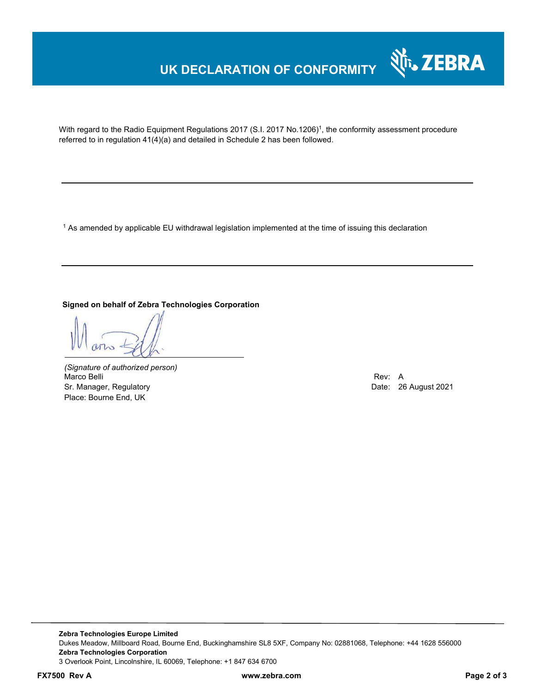### **UK DECLARATION OF CONFORMITY**



With regard to the Radio Equipment Regulations 2017 (S.I. 2017 No.1206)<sup>1</sup>, the conformity assessment procedure referred to in regulation 41(4)(a) and detailed in Schedule 2 has been followed.

 $^{\rm 1}$  As amended by applicable EU withdrawal legislation implemented at the time of issuing this declaration

**Signed on behalf of Zebra Technologies Corporation** 

*(Signature of authorized person)* Marco Belli Rev: A Alexander Communication of the Communication of the Communication of the Communication of the Communication of the Communication of the Communication of the Communication of the Communication of the Comm Sr. Manager, Regulatory **Date: 26 August 2021** Controller Manager, Regulatory **Date: 26 August 2021** Place: Bourne End, UK